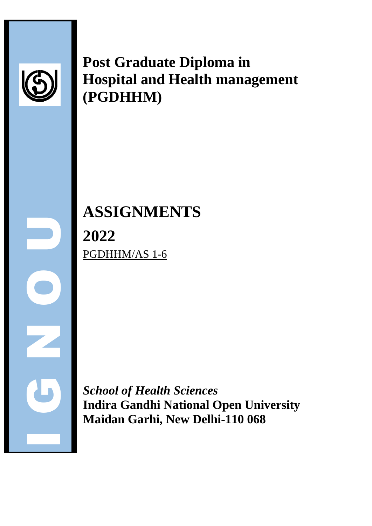

**Post Graduate Diploma in Hospital and Health management (PGDHHM)**

**EXECUTE:**<br>
Index Contract of the Magnus School and Magnus School and Magnus School and Magnus School and Magnus School and Magnus School and Magnus School and Magnus School and Magnus School and Magnus School and Magnus S **ASSIGNMENTS 2022** PGDHHM/AS 1-6

*School of Health Sciences* **Indira Gandhi National Open University Maidan Garhi, New Delhi-110 068**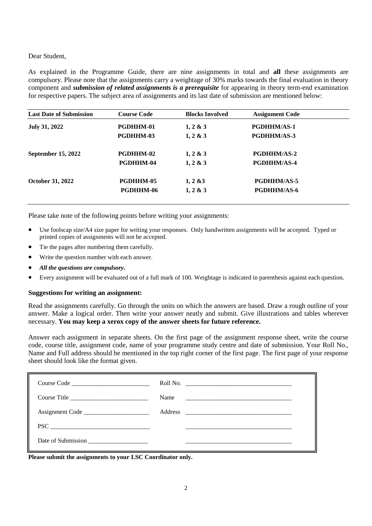#### Dear Student,

As explained in the Programme Guide, there are nine assignments in total and **all** these assignments are compulsory. Please note that the assignments carry a weightage of 30% marks towards the final evaluation in theory component and *submission of related assignments is a prerequisite* for appearing in theory term-end examination for respective papers. The subject area of assignments and its last date of submission are mentioned below:

| <b>Course Code</b> | <b>Blocks Involved</b> | <b>Assignment Code</b> |  |
|--------------------|------------------------|------------------------|--|
| <b>PGDHHM-01</b>   | $1, 2 \& 3$            | PGDHHM/AS-1            |  |
| <b>PGDHHM-03</b>   | $1, 2 \& 3$            | <b>PGDHHM/AS-3</b>     |  |
| <b>PGDHHM-02</b>   | $1, 2 \& 3$            | <b>PGDHHM/AS-2</b>     |  |
| PGDHHM-04          | $1, 2 \& 3$            | <b>PGDHHM/AS-4</b>     |  |
| <b>PGDHHM-05</b>   | $1, 2 \& 3$            | <b>PGDHHM/AS-5</b>     |  |
| <b>PGDHHM-06</b>   | $1, 2 \& 3$            | <b>PGDHHM/AS-6</b>     |  |
|                    |                        |                        |  |

Please take note of the following points before writing your assignments:

- Use foolscap size/A4 size paper for writing your responses. Only handwritten assignments will be accepted. Typed or printed copies of assignments will not be accepted.
- Tie the pages after numbering them carefully.
- Write the question number with each answer.
- *All the questions are compulsory.*
- Every assignment will be evaluated out of a full mark of 100. Weightage is indicated in parenthesis against each question.

#### **Suggestions for writing an assignment:**

Read the assignments carefully. Go through the units on which the answers are based. Draw a rough outline of your answer. Make a logical order. Then write your answer neatly and submit. Give illustrations and tables wherever necessary. **You may keep a xerox copy of the answer sheets for future reference.**

Answer each assignment in separate sheets. On the first page of the assignment response sheet, write the course code, course title, assignment code, name of your programme study centre and date of submission. Your Roll No., Name and Full address should be mentioned in the top right corner of the first page. The first page of your response sheet should look like the format given.

|                             | Roll No.                                                             |
|-----------------------------|----------------------------------------------------------------------|
| Course Title                | Name<br><u> 1989 - Johann Barn, mars ann an t-Amhraich ann an t-</u> |
|                             |                                                                      |
| $\text{PSC} \_\_\_\_\_\_\_$ |                                                                      |
|                             |                                                                      |

**Please submit the assignments to your LSC Coordinator only.**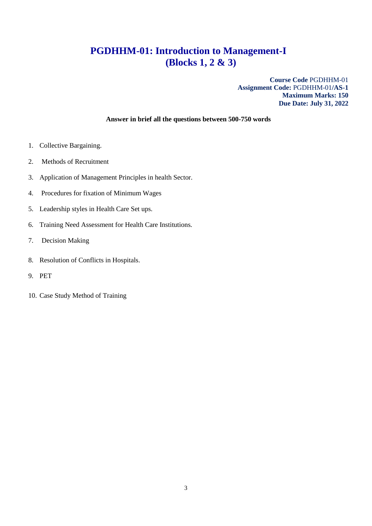# **PGDHHM-01: Introduction to Management-I (Blocks 1, 2 & 3)**

**Course Code** PGDHHM-01 **Assignment Code:** PGDHHM-01**/AS-1 Maximum Marks: 150 Due Date: July 31, 2022**

- 1. Collective Bargaining.
- 2. Methods of Recruitment
- 3. Application of Management Principles in health Sector.
- 4. Procedures for fixation of Minimum Wages
- 5. Leadership styles in Health Care Set ups.
- 6. Training Need Assessment for Health Care Institutions.
- 7. Decision Making
- 8. Resolution of Conflicts in Hospitals.
- 9. PET
- 10. Case Study Method of Training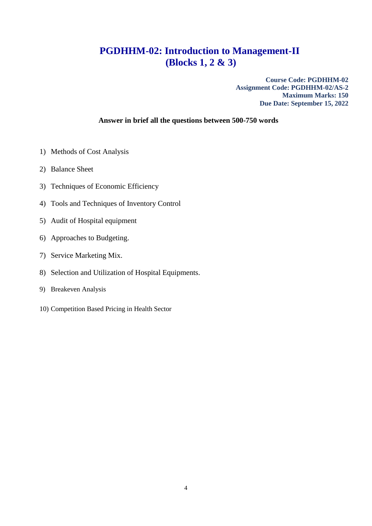## **PGDHHM-02: Introduction to Management-II (Blocks 1, 2 & 3)**

**Course Code: PGDHHM-02 Assignment Code: PGDHHM-02/AS-2 Maximum Marks: 150 Due Date: September 15, 2022**

- 1) Methods of Cost Analysis
- 2) Balance Sheet
- 3) Techniques of Economic Efficiency
- 4) Tools and Techniques of Inventory Control
- 5) Audit of Hospital equipment
- 6) Approaches to Budgeting.
- 7) Service Marketing Mix.
- 8) Selection and Utilization of Hospital Equipments.
- 9) Breakeven Analysis
- 10) Competition Based Pricing in Health Sector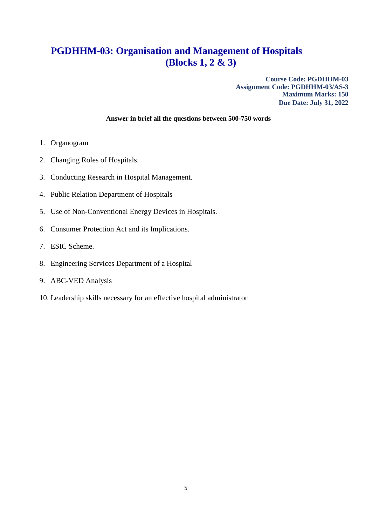## **PGDHHM-03: Organisation and Management of Hospitals (Blocks 1, 2 & 3)**

**Course Code: PGDHHM-03 Assignment Code: PGDHHM-03/AS-3 Maximum Marks: 150 Due Date: July 31, 2022**

- 1. Organogram
- 2. Changing Roles of Hospitals.
- 3. Conducting Research in Hospital Management.
- 4. Public Relation Department of Hospitals
- 5. Use of Non-Conventional Energy Devices in Hospitals.
- 6. Consumer Protection Act and its Implications.
- 7. ESIC Scheme.
- 8. Engineering Services Department of a Hospital
- 9. ABC-VED Analysis
- 10. Leadership skills necessary for an effective hospital administrator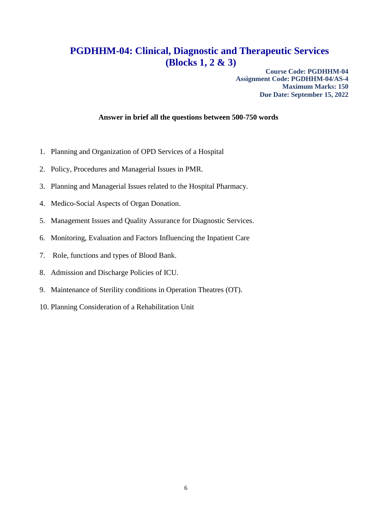### **PGDHHM-04: Clinical, Diagnostic and Therapeutic Services (Blocks 1, 2 & 3)**

**Course Code: PGDHHM-04 Assignment Code: PGDHHM-04/AS-4 Maximum Marks: 150 Due Date: September 15, 2022**

- 1. Planning and Organization of OPD Services of a Hospital
- 2. Policy, Procedures and Managerial Issues in PMR.
- 3. Planning and Managerial Issues related to the Hospital Pharmacy.
- 4. Medico-Social Aspects of Organ Donation.
- 5. Management Issues and Quality Assurance for Diagnostic Services.
- 6. Monitoring, Evaluation and Factors Influencing the Inpatient Care
- 7. Role, functions and types of Blood Bank.
- 8. Admission and Discharge Policies of ICU.
- 9. Maintenance of Sterility conditions in Operation Theatres (OT).
- 10. Planning Consideration of a Rehabilitation Unit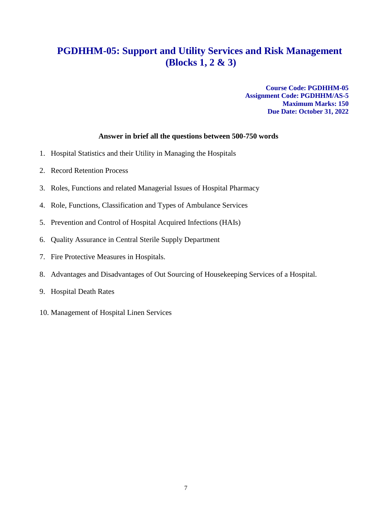## **PGDHHM-05: Support and Utility Services and Risk Management (Blocks 1, 2 & 3)**

**Course Code: PGDHHM-05 Assignment Code: PGDHHM/AS-5 Maximum Marks: 150 Due Date: October 31, 2022**

- 1. Hospital Statistics and their Utility in Managing the Hospitals
- 2. Record Retention Process
- 3. Roles, Functions and related Managerial Issues of Hospital Pharmacy
- 4. Role, Functions, Classification and Types of Ambulance Services
- 5. Prevention and Control of Hospital Acquired Infections (HAIs)
- 6. Quality Assurance in Central Sterile Supply Department
- 7. Fire Protective Measures in Hospitals.
- 8. Advantages and Disadvantages of Out Sourcing of Housekeeping Services of a Hospital.
- 9. Hospital Death Rates
- 10. Management of Hospital Linen Services